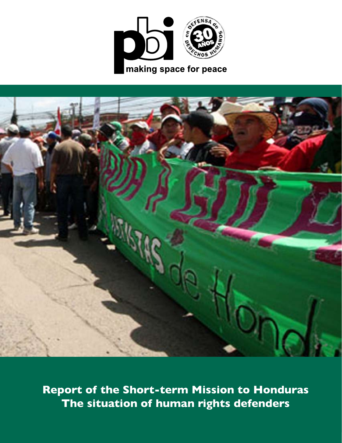



**Report of the Short-term Mission to Honduras The situation of human rights defenders**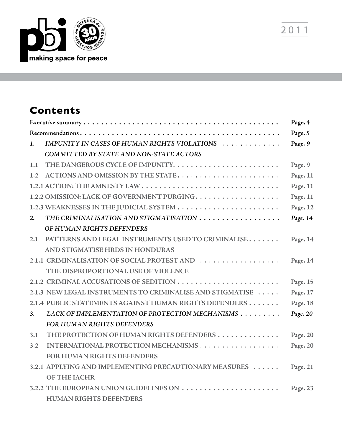

2011

# **Contents**

|     |                                                           | Page. 4  |
|-----|-----------------------------------------------------------|----------|
|     |                                                           | Page. 5  |
| 1.  | IMPUNITY IN CASES OF HUMAN RIGHTS VIOLATIONS              | Page. 9  |
|     | <b>COMMITTED BY STATE AND NON-STATE ACTORS</b>            |          |
| 1.1 |                                                           | Page. 9  |
| 1.2 |                                                           | Page. 11 |
|     |                                                           | Page. 11 |
|     |                                                           | Page. 11 |
|     |                                                           | Page. 12 |
| 2.  | THE CRIMINALISATION AND STIGMATISATION                    | Page. 14 |
|     | OF HUMAN RIGHTS DEFENDERS                                 |          |
| 2.1 | PATTERNS AND LEGAL INSTRUMENTS USED TO CRIMINALISE        | Page. 14 |
|     | AND STIGMATISE HRDS IN HONDURAS                           |          |
|     | 2.1.1 CRIMINALISATION OF SOCIAL PROTEST AND               | Page. 14 |
|     | THE DISPROPORTIONAL USE OF VIOLENCE                       |          |
|     |                                                           | Page. 15 |
|     | 2.1.3 NEW LEGAL INSTRUMENTS TO CRIMINALISE AND STIGMATISE | Page. 17 |
|     | 2.1.4 PUBLIC STATEMENTS AGAINST HUMAN RIGHTS DEFENDERS    | Page. 18 |
| 3.  | LACK OF IMPLEMENTATION OF PROTECTION MECHANISMS           | Page. 20 |
|     | <b>FOR HUMAN RIGHTS DEFENDERS</b>                         |          |
| 3.1 | THE PROTECTION OF HUMAN RIGHTS DEFENDERS                  | Page. 20 |
| 3,2 | INTERNATIONAL PROTECTION MECHANISMS                       | Page. 20 |
|     | <b>FOR HUMAN RIGHTS DEFENDERS</b>                         |          |
|     | 3.2.1 APPLYING AND IMPLEMENTING PRECAUTIONARY MEASURES    | Page. 21 |
|     | <b>OF THE IACHR</b>                                       |          |
|     | 3.2.2 THE EUROPEAN UNION GUIDELINES ON                    | Page. 23 |
|     | <b>HUMAN RIGHTS DEFENDERS</b>                             |          |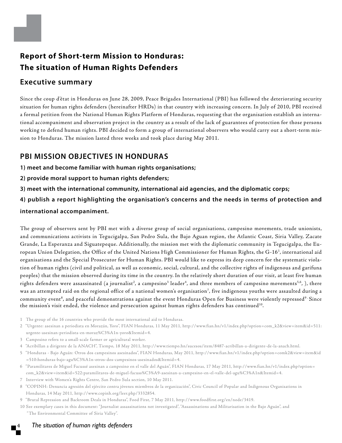## **Report of Short-term Mission to Honduras: The situation of Human Rights Defenders**

#### **Executive summary**

Since the coup d'état in Honduras on June 28, 2009, Peace Brigades International (PBI) has followed the deteriorating security situation for human rights defenders (hereinafter HRDs) in that country with increasing concern. In July of 2010, PBI received a formal petition from the National Human Rights Platform of Honduras, requesting that the organisation establish an international accompaniment and observation project in the country as a result of the lack of guarantees of protection for those persons working to defend human rights. PBI decided to form a group of international observers who would carry out a short-term mission to Honduras. The mission lasted three weeks and took place during May 2011.

#### **PBI MISSION OBJECTIVES IN HONDURAS**

- **1) meet and become familiar with human rights organisations;**
- **2) provide moral support to human rights defenders;**
- **3) meet with the international community, international aid agencies, and the diplomatic corps;**

# **4) publish a report highlighting the organisation's concerns and the needs in terms of protection and**

#### **international accompaniment.**

The group of observers sent by PBI met with a diverse group of social organisations, campesino movements, trade unionists, and communications activists in Tegucigalpa, San Pedro Sula, the Bajo Aguan region, the Atlantic Coast, Siria Valley, Zacate Grande, La Esperanza and Siguatepeque. Additionally, the mission met with the diplomatic community in Tegucigalpa, the European Union Delegation, the Office of the United Nations High Commissioner for Human Rights, the G-16<sup>1</sup>, international aid organisations and the Special Prosecutor for Human Rights. PBI would like to express its deep concern for the systematic violation of human rights (civil and political, as well as economic, social, cultural, and the collective rights of indigenous and garifuna peoples) that the mission observed during its time in the country. In the relatively short duration of our visit, at least five human rights defenders were assassinated (a journalist<sup>2</sup>, a campesino<sup>3</sup> leader<sup>4</sup>, and three members of campesino movements<sup>5,6</sup>, ), there was an attempted raid on the regional office of a national women's organisation<sup>7</sup>, five indigenous youths were assaulted during a community event $^{\rm 8}$ , and peaceful demonstrations against the event Honduras Open for Business were violently repressed $^{\rm 9}$  Since the mission's visit ended, the violence and persecution against human rights defenders has continued10.

- 1 The group of the 16 countries who provide the most international aid to Honduras.
- 2 "Urgente: asesinan a periodista en Morazán, Yoro", FIAN Honduras, 11 May 2011, http://www.fian.hn/v1/index.php?option=com\_k2&view=item&id=511: urgente-asesinan-periodista-en-moraz%C3%A1n-yoro&Itemid=4.
- 3 Campesino refers to a small-scale farmer or agricultural worker.
- 4 "Acribillan a dirigente de la ANACH", Tiempo, 18 May 2011, http://www.tiempo.hn/sucesos/item/8487-acribillan-a-dirigente-de-la-anach.html.
- 5 "Honduras Bajo Aguán: Otros dos campesinos asesinados", FIAN Honduras, May 2011, http://www.fian.hn/v1/index.php?option=comk2&view=item&id =510:honduras-bajo-agu%C3%A1n-otros-dos-campesinos-asesinados&Itemid=4.
- 6 "Paramilitares de Miguel Facussé asesinan a campesino en el valle del Aguán", FIAN Honduras, 17 May 2011, http://www.fian.hn/v1/index.php?option= com\_k2&view=item&id=522:paramilitares-de-miguel-facuss%C3%A9-asesinan-a-campesino-en-el-valle-del-agu%C3%A1n&Itemid=4.
- 7 Interview with Women's Rights Centre, San Pedro Sula section, 10 May 2011.
- 8 "COPINH: Denuncia agresión del ejército contra jóvenes miembros de la organización", Civic Council of Popular and Indigenous Organisations in Honduras, 14 May 2011, http://www.copinh.org/leer.php/3332854.
- 9 "Brutal Repression and Backroom Deals in Honduras", Food First, 7 May 2011, http://www.foodfirst.org/en/node/3419.
- 10 See exemplary cases in this document: "Journalist assassinations not investigated", "Assassinations and Militarisation in the Bajo Aguán", and " The Environmental Committee of Siria Valley".

#### *The situation of human rights defenders*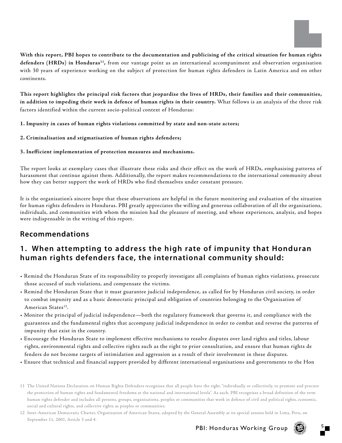

**With this report, PBI hopes to contribute to the documentation and publicising of the critical situation for human rights defenders (HRDs) in Honduras11,** from our vantage point as an international accompaniment and observation organisation with 30 years of experience working on the subject of protection for human rights defenders in Latin America and on other continents.

**This report highlights the principal risk factors that jeopardise the lives of HRDs, their families and their communities, in addition to impeding their work in defence of human rights in their country.** What follows is an analysis of the three risk factors identified within the current socio-political context of Honduras:

#### **1. Impunity in cases of human rights violations committed by state and non-state actors;**

- **2. Criminalisation and stigmatisation of human rights defenders;**
- **3. Inefficient implementation of protection measures and mechanisms.**

The report looks at exemplary cases that illustrate these risks and their effect on the work of HRDs, emphasising patterns of harassment that continue against them. Additionally, the report makes recommendations to the international community about how they can better support the work of HRDs who find themselves under constant pressure.

It is the organisation's sincere hope that these observations are helpful in the future monitoring and evaluation of the situation for human rights defenders in Honduras. PBI greatly appreciates the willing and generous collaboration of all the organisations, individuals, and communities with whom the mission had the pleasure of meeting, and whose experiences, analysis, and hopes were indispensable in the writing of this report.

#### **Recommendations**

#### **1. When attempting to address the high rate of impunity that Honduran human rights defenders face, the international community should:**

- Remind the Honduran State of its responsibility to properly investigate all complaints of human rights violations, prosecute those accused of such violations, and compensate the victims.
- Remind the Honduran State that it must guarantee judicial independence, as called for by Honduran civil society, in order to combat impunity and as a basic democratic principal and obligation of countries belonging to the Organisation of American States<sup>12</sup>.
- Monitor the principal of judicial independence—both the regulatory framework that governs it, and compliance with the guarantees and the fundamental rights that accompany judicial independence in order to combat and reverse the patterns of impunity that exist in the country.
- Encourage the Honduran State to implement effective mechanisms to resolve disputes over land rights and titles, labour rights, environmental rights and collective rights such as the right to prior consultation, and ensure that human rights de fenders do not become targets of intimidation and aggression as a result of their involvement in these disputes.
- Ensure that technical and financial support provided by different international organisations and governments to the Hon

<sup>12</sup> Inter-American Democratic Charter, Organization of American States, adopted by the General Assembly at its special session held in Lima, Peru, on September 11, 2001, Article 3 and 4.



<sup>11</sup> The United Nations Declaration on Human Rights Defenders recognises that all people have the right, "individually or collectively, to promote and procure the protection of human rights and fundamental freedoms at the national and international levels". As such, PBI recognises a broad definition of the term human rights defender and includes all persons, groups, organisations, peoples or communities that work in defence of civil and political rights, economic, social and cultural rights, and collective rights as peoples or communities.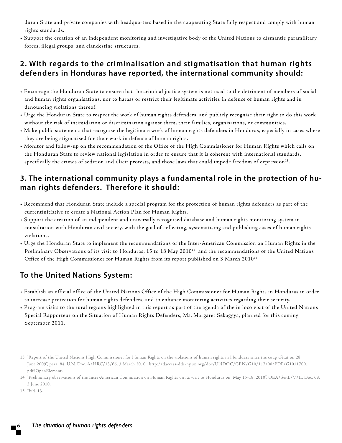duran State and private companies with headquarters based in the cooperating State fully respect and comply with human rights standards.

• Support the creation of an independent monitoring and investigative body of the United Nations to dismantle paramilitary forces, illegal groups, and clandestine structures.

### **2. With regards to the criminalisation and stigmatisation that human rights defenders in Honduras have reported, the international community should:**

- Encourage the Honduran State to ensure that the criminal justice system is not used to the detriment of members of social and human rights organisations, nor to harass or restrict their legitimate activities in defence of human rights and in denouncing violations thereof.
- Urge the Honduran State to respect the work of human rights defenders, and publicly recognise their right to do this work without the risk of intimidation or discrimination against them, their families, organisations, or communities.
- Make public statements that recognise the legitimate work of human rights defenders in Honduras, especially in cases where they are being stigmatised for their work in defence of human rights.
- Monitor and follow-up on the recommendation of the Office of the High Commissioner for Human Rights which calls on the Honduran State to review national legislation in order to ensure that it is coherent with international standards, specifically the crimes of sedition and illicit protests, and those laws that could impede freedom of expression $^{13}$ .

#### **3. The international community plays a fundamental role in the protection of human rights defenders. Therefore it should:**

- Recommend that Honduran State include a special program for the protection of human rights defenders as part of the currentinitiative to create a National Action Plan for Human Rights.
- Support the creation of an independent and universally recognised database and human rights monitoring system in consultation with Honduran civil society, with the goal of collecting, systematising and publishing cases of human rights violations.
- Urge the Honduran State to implement the recommendations of the Inter-American Commission on Human Rights in the Preliminary Observations of its visit to Honduras, 15 to 18 May 2010<sup>14</sup> and the recommendations of the United Nations Office of the High Commissioner for Human Rights from its report published on 3 March 201015.

#### **To the United Nations System:**

- Establish an official office of the United Nations Office of the High Commissioner for Human Rights in Honduras in order to increase protection for human rights defenders, and to enhance monitoring activities regarding their security.
- Program visits to the rural regions highlighted in this report as part of the agenda of the in loco visit of the United Nations Special Rapporteur on the Situation of Human Rights Defenders, Ms. Margaret Sekaggya, planned for this coming September 2011.

<sup>13 &</sup>quot;Report of the United Nations High Commissioner for Human Rights on the violations of human rights in Honduras since the coup d'état on 28 June 2009", para. 84, U.N. Doc. A/HRC/13/66, 3 March 2010, http://daccess-dds-ny.un.org/doc/UNDOC/GEN/G10/117/00/PDF/G1011700. pdf?OpenElement.

<sup>14 &</sup>quot;Preliminary observations of the Inter-American Commission on Human Rights on its visit to Honduras on May 15-18, 2010", OEA/Ser.L/V/II, Doc. 68, 3 June 2010.

<sup>15</sup> Ibíd. 13.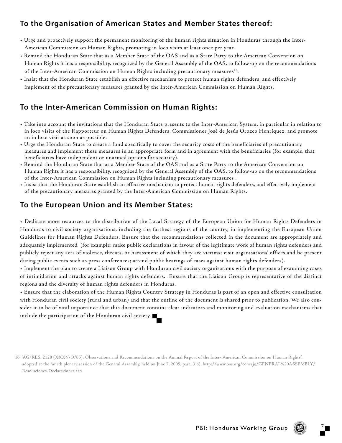#### **To the Organisation of American States and Member States thereof:**

- Urge and proactively support the permanent monitoring of the human rights situation in Honduras through the Inter- American Commission on Human Rights, promoting in loco visits at least once per year.
- Remind the Honduran State that as a Member State of the OAS and as a State Party to the American Convention on Human Rights it has a responsibility, recognized by the General Assembly of the OAS, to follow-up on the recommendations of the Inter-American Commission on Human Rights including precautionary measures<sup>16</sup>.
- Insist that the Honduran State establish an effective mechanism to protect human rights defenders, and effectively implement of the precautionary measures granted by the Inter-American Commission on Human Rights.

#### **To the Inter-American Commission on Human Rights:**

- Take into account the invitations that the Honduran State presents to the Inter-American System, in particular in relation to in loco visits of the Rapporteur on Human Rights Defenders, Commissioner José de Jesús Orozco Henríquez, and promote an in loco visit as soon as possible.
- Urge the Honduran State to create a fund specifically to cover the security costs of the beneficiaries of precautionary measures and implement these measures in an appropriate form and in agreement with the beneficiaries (for example, that beneficiaries have independent or unarmed options for security).
- Remind the Honduran State that as a Member State of the OAS and as a State Party to the American Convention on Human Rights it has a responsibility, recognized by the General Assembly of the OAS, to follow-up on the recommendations of the Inter-American Commission on Human Rights including precautionary measures .
- Insist that the Honduran State establish an effective mechanism to protect human rights defenders, and effectively implement of the precautionary measures granted by the Inter-American Commission on Human Rights.

#### **To the European Union and its Member States:**

• Dedicate more resources to the distribution of the Local Strategy of the European Union for Human Rights Defenders in Honduras to civil society organisations, including the farthest regions of the country, in implementing the European Union Guidelines for Human Rights Defenders. Ensure that the recommendations collected in the document are appropriately and adequately implemented (for example: make public declarations in favour of the legitimate work of human rights defenders and publicly reject any acts of violence, threats, or harassment of which they are victims; visit organisations' offices and be present during public events such as press conferences; attend public hearings of cases against human rights defenders).

• Implement the plan to create a Liaison Group with Honduran civil society organisations with the purpose of examining cases of intimidation and attacks against human rights defenders. Ensure that the Liaison Group is representative of the distinct regions and the diversity of human rights defenders in Honduras.

• Ensure that the elaboration of the Human Rights Country Strategy in Honduras is part of an open and effective consultation with Honduran civil society (rural and urban) and that the outline of the document is shared prior to publication. We also consider it to be of vital importance that this document contains clear indicators and monitoring and evaluation mechanisms that include the participation of the Honduran civil society.

16 "AG/RES. 2128 (XXXV-O/05): Observations and Recommendations on the Annual Report of the Inter- American Commission on Human Rights", adopted at the fourth plenary session of the General Assembly, held on June 7, 2005, para. 3 b), http://www.oas.org/consejo/GENERAL%20ASSEMBLY/ Resoluciones-Declaraciones.asp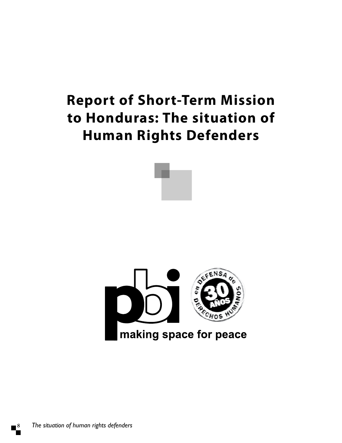# **Report of Short-Term Mission to Honduras: The situation of Human Rights Defenders**



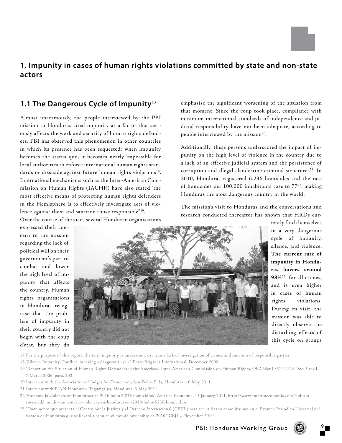#### **1. Impunity in cases of human rights violations committed by state and non-state actors**

#### **1.1 The Dangerous Cycle of Impunity17**

Almost unanimously, the people interviewed by the PBI mission to Honduras cited impunity as a factor that seriously affects the work and security of human rights defenders. PBI has observed this phenomenon in other countries in which its presence has been requested: when impunity becomes the status quo, it becomes nearly impossible for local authorities to enforce international human rights standards or dissuade against future human rights violations<sup>18</sup>. International mechanisms such as the Inter-American Commission on Human Rights (IACHR) have also stated "the most effective means of protecting human rights defenders in the Hemisphere is to effectively investigate acts of violence against them and sanction those responsible"19. Over the course of the visit, several Honduran organisations emphasise the significant worsening of the situation from that moment. Since the coup took place, compliance with minimum international standards of independence and judicial responsibility have not been adequate, according to people interviewed by the mission<sup>20</sup>.

Additionally, these persons underscored the impact of impunity on the high level of violence in the country due to a lack of an effective judicial system and the persistence of corruption and illegal clandestine criminal structures $^{21}$ . In 2010, Honduras registered 6.236 homicides and the rate of homicides per 100.000 inhabitants rose to  $77^{22}$ , making Honduras the most dangerous country in the world.

The mission's visit to Honduras and the conversations and research conducted thereafter has shown that HRDs cur-

expressed their concern to the mission regarding the lack of political will on their government's part to combat and lower the high level of impunity that affects the country. Human rights organisations in Honduras recognise that the problem of impunity in their country did not begin with the coup d'etat, but they do



rently find themselves in a very dangerous cycle of impunity, silence, and violence. **The current rate of impunity in Honduras hovers around 98%23** for all crimes, and is even higher in cases of human rights violations. During its visit, the mission was able to directly observe the disturbing effects of this cycle on groups

17 For the purpose of this report, the term impunity is understood to mean a lack of investigation of crimes and sanction of responsible parties.

- 18 "Silence-Impunity-Conflict: breaking a dangerous cycle", Peace Brigades International, December 2009.
- 19 "Report on the Situation of Human Rights Defenders in the Americas", Inter-American Commission on Human Rights, OEA/Ser.L/V/II.124 Doc. 5 rev.1, 7 March 2006, para. 202.
- 20 Interview with the Association of Judges for Democracy, San Pedro Sula, Honduras, 10 May 2011.
- 21 Interview with FIAN Honduras, Tegucigalpa, Honduras, 3 May 2011.
- 22 "Aumenta la violencia en Honduras: en 2010 hubo 6.236 homicidios", América Economía, 13 January 2011, http://www.americaeconomia.com/politica sociedad/mundo/aumenta-la-violencia-en-honduras-en-2010-hubo-6236-homicidios.
- 23 "Documento que presenta el Centro por la Justicia y el Derecho Internacional (CEJIL) para ser utilizado como insumo en el Examen Periódico Universal del Estado de Honduras que se llevará a cabo en el mes de noviembre de 2010," CEJIL, November 2010.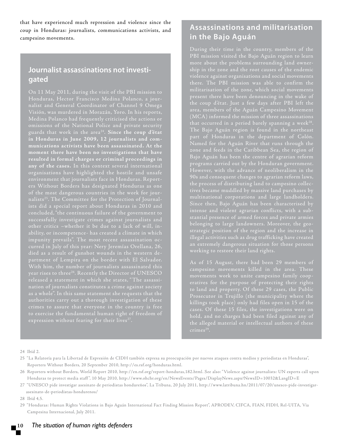that have experienced much repression and violence since the coup in Honduras: journalists, communications activists, and campesino movements.

#### **Journalist assassinations not investigated**

nalist and General Coordinator of Channel 9 Omega guards that work in the area24. **Since the coup d'état in Honduras in June 2009, 12 journalists and commoment there have been no investigations that have resulted in formal charges or criminal proceedings in**  organisations have highlighted the hostile and unsafe ers Without Borders has designated Honduras as one concluded, "the continuous failure of the government to successfully investigate crimes against journalists and impunity prevails". The most recent assassination ocdied as a result of gunshot wounds in the western denation of journalists constitutes a crime against society

#### **Assassinations and militarisation in the Bajo Aguán**

more about the problems surrounding land owner-Named for the Aguán River that runs through the zone and feeds in the Caribbean Sea, the region of programs carried out by the Honduran government. multinational corporations and large landholders. intense and violent agrarian conflicts, with a subillegal activities such as drug trafficking have created

As of 15 August, there had been 29 members of to land and property. Of these 29 cases, the Public

24 Ibíd 2.

28 Ibíd 4,5.

29 "Honduras: Human Rights Violations in Bajo Aguán International Fact Finding Mission Report", APRODEV, CIFCA, FIAN, FIDH, Rel-UITA, Via Campesina Internacional, July 2011.

<sup>25 &</sup>quot;La Relatoría para la Libertad de Expresión de CIDH también expresa su preocupación por nuevos ataques contra medios y periodistas en Honduras", Reporters Without Borders, 20 September 2010, http://es.rsf.org/honduras.html.

<sup>26</sup> Reporters without Borders, World Report 2010, http://en.rsf.org/report-honduras,182.html. See also: " Violence against journalists: UN experts call upon Honduras to protect media staff ", 10 May 2010, http://www.ohchr.org/en/NewsEvents/Pages/DisplayNews.aspx?NewsID=10032&LangID=E

<sup>27 &</sup>quot;UNESCO pide investigar asesinato de periodistas hondureños", La Tribuna, 20 July 2011, http://www.latribuna.hn/2011/07/20/unesco-pide-investigar asesinato-de-periodistas-hondurenos/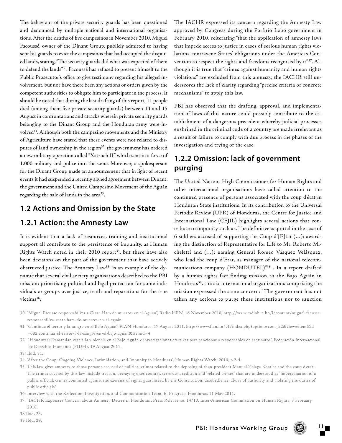The behaviour of the private security guards has been questioned and denounced by multiple national and international organisations. After the deaths of five campesinos in November 2010, Miguel Facoussé, owner of the Dinant Group, publicly admitted to having sent his guards to evict the campesinos that had occupied the disputed lands, stating, "The security guards did what was expected of them to defend the lands"30. Facoussé has refused to present himself to the Public Prosecutor's office to give testimony regarding his alleged involvement, but nor have there been any actions or orders given by the competent authorities to obligate him to participate in the process. It should be noted that during the last drafting of this report, 11 people died (among them five private security guards) between 14 and 15 August in confrontations and attacks wherein private security guards belonging to the Dinant Group and the Honduran army were involved<sup>31</sup>. Although both the campesino movements and the Ministry of Agriculture have stated that these events were not related to disputes of land ownership in the region<sup>32</sup>, the government has ordered a new military operation called "Xatruch II" which sent in a force of 1.000 military and police into the zone. Moreover, a spokesperson for the Dinant Group made an announcement that in light of recent events it had suspended a recently signed agreement between Dinant, the government and the United Campesino Movement of the Aguán regarding the sale of lands in the area<sup>33</sup>.

#### **1.2 Actions and Omission by the State**

#### **1.2.1 Action: the Amnesty Law**

It is evident that a lack of resources, training and institutional support all contribute to the persistence of impunity, as Human Rights Watch noted in their 2010 report<sup>34</sup>, but there have also been decisions on the part of the government that have actively obstructed justice. The Amnesty Law<sup>35</sup> is an example of the dynamic that several civil society organisations described to the PBI mission: prioritising political and legal protection for some individuals or groups over justice, truth and reparations for the true victims<sup>36</sup>.

The IACHR expressed its concern regarding the Amnesty Law approved by Congress during the Porfirio Lobo government in February 2010, reiterating "that the application of amnesty laws that impede access to justice in cases of serious human rights violations contravene States' obligations under the Americas Convention to respect the rights and freedoms recognised by it"37. Although it is true that "crimes against humanity and human rights violations" are excluded from this amnesty, the IACHR still underscores the lack of clarity regarding "precise criteria or concrete mechanisms" to apply this law.

PBI has observed that the drafting, approval, and implementation of laws of this nature could possibly contribute to the establishment of a dangerous precedent whereby judicial processes enshrined in the criminal code of a country are made irrelevant as a result of failure to comply with due process in the phases of the investigation and trying of the case.

#### **1.2.2 Omission: lack of government purging**

The United Nations High Commissioner for Human Rights and other international organisations have called attention to the continued presence of persons associated with the coup d'état in Honduran State institutions. In its contribution to the Universal Periodic Review (UPR) of Honduras, the Centre for Justice and International Law (CEJIL) highlights several actions that contribute to impunity such as, "the definitive acquittal in the case of 6 soldiers accused of supporting the Coup d'[E]tat (…); awarding the distinction of Representative for Life to Mr. Roberto Micheletti and (…); naming General Romeo Vásquez Velásquez, who lead the coup d'Etat, as manager of the national telecommunications company (HONDUTEL)"38 . In a report drafted by a human rights fact finding mission to the Bajo Aguán in Honduras<sup>39</sup>, the six international organisations comprising the mission expressed the same concern: " The government has not taken any actions to purge these institutions nor to sanction

- 30 "Miguel Facusse responsabiliza a Cesar Ham de muertes en el Aguán", Radio HRN, 16 November 2010, http://www.radiohrn.hn/l/content/miguel-facusse responsabiliza-cesar-ham-de-muertes-en-el-aguán.
- 31 "Continua el terror y la sangre en el Bajo Aguán", FIAN Honduras, 17 August 2011, http://www.fian.hn/v1/index.php?option=com\_k2&view=item&id =682:continua-el-terror-y-la-sangre-en-el-bajo-aguan&Itemid=4
- 32 "Honduras: Demandan cese a la violencia en el Bajo Aguán e investigaciones efectivas para sancionar a responsables de asesinatos", Federación Internacional de Derechos Humanos (FIDH), 19 August 2011.
- 33 Ibíd. 31.
- 34 "After the Coup: Ongoing Violence, Intimidation, and Impunity in Honduras", Human Rights Watch, 2010, p.2-4.
- 35 This law gives amnesty to those persons accused of political crimes related to the deposing of then-president Manuel Zelaya Rosales and the coup d'etat. The crimes covered by this law include treason, betraying ones country, terrorism, sedition and "related crimes" that are understood as "impersonation of a public official, crimes commited against the exercise of rights guaranteed by the Constitution, disobedience, abuse of authority and violating the duties of public officials".
- 36 Interview with the Reflection, Investigation, and Communication Team, El Progreso, Honduras, 11 May 2011.
- 37 "IACHR Expresses Concern about Amnesty Decree in Honduras", Press Release no. 14/10, Inter-American Commission on Human Rights, 3 February 2010.
- 38 Ibíd. 23.
- 39 Ibíd. 29.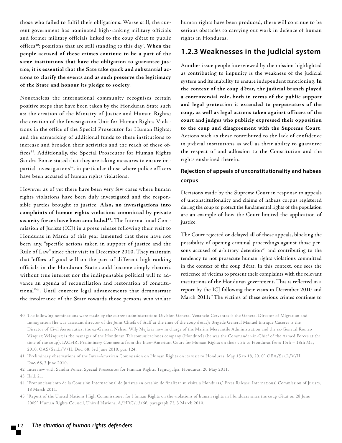those who failed to fulfil their obligations. Worse still, the current government has nominated high-ranking military officials and former military officials linked to the coup d'état to public offices40; positions that are still standing to this day". **When the people accused of these crimes continue to be a part of the same institutions that have the obligation to guarantee justice, it is essential that the Sate take quick and substantial actions to clarify the events and as such preserve the legitimacy of the State and honour its pledge to society.**

Nonetheless the international community recognises certain positive steps that have been taken by the Honduran State such as: the creation of the Ministry of Justice and Human Rights; the creation of the Investigation Unit for Human Rights Violations in the office of the Special Prosecutor for Human Rights; and the earmarking of additional funds to these institutions to increase and broaden their activities and the reach of these offices<sup>41</sup>. Additionally, the Special Prosecutor for Human Rights Sandra Ponce stated that they are taking measures to ensure impartial investigations<sup>42</sup>, in particular those where police officers have been accused of human rights violations.

However as of yet there have been very few cases where human rights violations have been duly investigated and the responsible parties brought to justice. **Also, no investigations into complaints of human rights violations committed by private security forces have been concluded43.**The International Commission of Jurists (ICJ) in a press release following their visit to Honduras in March of this year lamented that there have not been any, "specific actions taken in support of justice and the Rule of Law" since their visit in December 2010. They maintain that "offers of good will on the part of different high ranking officials in the Honduran State could become simply rhetoric without true interest nor the indispensable political will to advance an agenda of reconciliation and restoration of constitutional"44. Until concrete legal advancements that demonstrate the intolerance of the State towards those persons who violate

human rights have been produced, there will continue to be serious obstacles to carrying out work in defence of human rights in Honduras.

#### **1.2.3 Weaknesses in the judicial system**

Another issue people interviewed by the mission highlighted as contributing to impunity is the weakness of the judicial system and its inability to ensure independent functioning. **In the context of the coup d'état, the judicial branch played a controversial role, both in terms of the public support and legal protection it extended to perpetrators of the coup, as well as legal actions taken against officers of the court and judges who publicly expressed their opposition to the coup and disagreement with the Supreme Court.** Actions such as these contributed to the lack of confidence in judicial institutions as well as their ability to guarantee the respect of and adhesion to the Constitution and the rights enshrined therein.

#### **Rejection of appeals of unconstitutionality and habeas corpus**

Decisions made by the Supreme Court in response to appeals of unconstitutionality and claims of habeas corpus registered during the coup to protect the fundamental rights of the population are an example of how the Court limited the application of justice.

The Court rejected or delayed all of these appeals, blocking the possibility of opening criminal proceedings against those persons accused of arbitrary detention<sup>45</sup> and contributing to the tendency to not prosecute human rights violations committed in the context of the coup d'état. In this context, one sees the reticence of victims to present their complaints with the relevant institutions of the Honduran government. This is reflected in a report by the ICJ following their visits in December 2010 and March 2011: "The victims of these serious crimes continue to

- 40 The following nominations were made by the current administration: Division General Venancio Cervantes is the General Director of Migration and Immigration (he was assistant director of the Joint Chiefs of Staff at the time of the coup d'état); Brigade General Manuel Enrique Cáceres is the Director of Civil Aeronautics; the ex-General Nelson Wily Mejía is now in charge of the Marine Mercantile Administration and the ex-General Romeo Vásquez Velásquez is the manager of the Honduran Telecomunicaciones company (Hondutel) (he was the Commander-in-Chief of the Armed Forces at the time of the coup). IACHR. Preliminary Comments from the Inter-American Court for Human Rights on their visit to Honduras from 15th – 18th May 2010. OAS/Ser.L/V/II. Doc. 68. 3rd June 2010, par. 124.
- 41 "Preliminary observations of the Inter-American Commission on Human Rights on its visit to Honduras, May 15 to 18, 2010", OEA/Ser.L/V/II, Doc. 68, 3 June 2010.
- 42 Interview with Sandra Ponce, Special Prosecutor for Human Rights, Tegucigalpa, Honduras, 20 May 2011.
- 43 Ibíd. 21.
- 44 "Pronunciamiento de la Comisión Internacional de Juristas en ocasión de finalizar su visita a Honduras," Press Release, International Commission of Jurists, 18 March 2011.
- 45 "Report of the United Nations High Commissioner for Human Rights on the violations of human rights in Honduras since the coup d'état on 28 June 2009", Human Rights Council, United Nations, A/HRC/13/66, paragraph 72, 3 March 2010.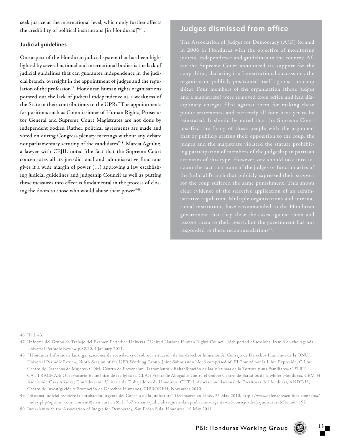seek justice at the international level, which only further affects the credibility of political institutions [in Honduras]"46 .

#### **Judicial guidelines**

One aspect of the Honduran judicial system that has been highlighted by several national and international bodies is the lack of judicial guidelines that can guarantee independence in the judicial branch, oversight in the appointment of judges and the regulation of the profession<sup>47</sup>. Honduran human rights organisations pointed out the lack of judicial independence as a weakness of the State in their contributions to the UPR: "The appointments for positions such as Commissioner of Human Rights, Prosecutor General and Supreme Court Magistrates are not done by independent bodies. Rather, political agreements are made and voted on during Congress plenary meetings without any debate nor parliamentary scrutiny of the candidates"48. Marcia Aguiluz, a lawyer with CEJIL noted "the fact that the Supreme Court concentrates all its jurisdictional and administrative functions gives it a wide margin of power (…) approving a law establishing judicial guidelines and Judgeship Council as well as putting these measures into effect is fundamental in the process of closing the doors to those who would abuse their power"49.

#### **Judges dismissed from office**

The Association of Judges for Democracy (AJD) formed judicial independence and guidelines in the country. After the Supreme Court announced its support for the organisation publicly positioned itself against the coup d'état. Four members of the organisation (three judges and a magistrate) were removed from office and had disciplinary charges filed against them for making these justified the firing of these people with the argument that by publicly stating their opposition to the coup, the ing participation of members of the judgeship in partisan activities of this type. However, one should take into account the fact that none of the judges or functionaries of the Judicial Branch that publicly expressed their support clear evidence of the selective application of an administrative regulation. Multiple organisations and internarestore them to their posts, but the government has not

46 Ibíd. 43.

- 47 "Informe del Grupo de Trabajo del Examen Periódico Universal," United Nations Human Rights Council, 16th period of sessions, Item 6 on the Agenda, Universal Periodic Review p.82.70, 4 January 2011.
- 48 "Honduras Informe de las organizaciones de sociedad civil sobre la situación de los derechos humanos Al Consejo de Derechos Humanos de la ONU", Universal Periodic Review, Ninth Session of the UPR Working Group, Joint Submission No. 6 comprised of: El Comité por la Libre Expresión, C-libre, Centro de Derechos de Mujeres, CDM; Centro de Prevención, Tratamiento y Rehabilitación de las Víctimas de la Tortura y sus Familiares, CPTRT; CATTRACHAS; Observatorio Ecuménico de las Iglesias, CLAI; Frente de Abogados contra el Golpe; Centro de Estudios de la Mujer-Honduras, CEM-H; Asociación Casa Alianza; Confederación Unitaria de Trabajadores de Honduras, CUTH; Asociación Nacional de Escritoras de Honduras, ANDE-H; Centro de Investigación y Promoción de Derechos Humanos, CIPRODEH, November 2010.
- 49 "Sistema judicial requiere la aprobación urgente del Consejo de la Judicatura", Defensores en Línea, 25 May 2010, http://www.defensoresenlinea.com/cms/ index.php?option=com\_content&view=article&id=767:sistema-judicial-requiere-la-aprobacion-urgente-del-consejo-de-la-judicatura&Itemid=192
- 50 Interview with the Association of Judges for Democracy, San Pedro Sula, Honduras, 10 May 2011.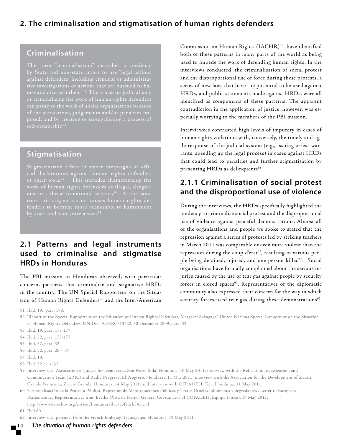#### **2. The criminalisation and stigmatisation of human rights defenders**

#### **Criminalisation**

by State and non-state actors to use "legal actions against defenders, including criminal or administra- $\stackrel{\sigma}{\sigma}$ tive investigations or actions that are pursued to haor criminalising the work of human rights defenders posed, and by creating or strengthening a process of

#### **Stigmatisation**

Stigmatisation refers to smear campaigns or offiwork of human rights defenders as illegal, dangertime this stigmatisation causes human rights de-

#### **2.1 Patterns and legal instruments used to criminalise and stigmatise HRDs in Honduras**

The PBI mission in Honduras observed, with particular concern, patterns that criminalise and stigmatise HRDs in the country. The UN Special Rapporteur on the Situation of Human Rights Defenders<sup>56</sup> and the Inter-American Commission on Human Rights (IACHR)<sup>57</sup> have identified both of these patterns in many parts of the world as being used to impede the work of defending human rights. In the interviews conducted, the criminalisation of social protest and the disproportional use of force during these protests, a series of new laws that have the potential to be used against HRDs, and public statements made against HRDs, were all identified as components of these patterns. The apparent contradiction in the application of justice, however, was especially worrying to the members of the PBI mission.

Interviewees contrasted high levels of impunity in cases of human rights violations with, conversely, the timely and agile response of the judicial system (e.g., issuing arrest warrants, speeding up the legal process) in cases against HRDs that could lead to penalties and further stigmatisation by presenting HRDs as delinquents<sup>58</sup>.

#### **2.1.1 Criminalisation of social protest and the disproportional use of violence**

During the interviews, the HRDs specifically highlighted the tendency to criminalise social protest and the disproportional use of violence against peaceful demonstrations. Almost all of the organisations and people we spoke to stated that the repression against a series of protests led by striking teachers in March 2011 was comparable or even more violent than the repression during the coup d'état<sup>59</sup>, resulting in various people being detained, injured, and one person killed<sup>60</sup>. Social organisations have formally complained about the serious injuries caused by the use of tear gas against people by security forces in closed spaces $61$ . Representatives of the diplomatic community also expressed their concern for the way in which security forces used tear gas during these demonstrations<sup>62</sup>.

- 52 "Report of the Special Rapporteur on the Situation of Human Rights Defenders, Margaret Sekaggya", United Nations Special Rapporteur on the Situation of Human Rights Defenders, UN Doc. A/HRC/13/22, 30 December 2009, para. 32.
- 53 Ibíd. 19, para. 175-177.
- 54 Ibíd. 52, para. 175-177.
- 55 Ibíd. 52, para. 32.
- 56 Ibíd. 52, para. 26 37.
- 57 Ibíd. 19.
- 58 Ibíd. 52 para. 32.
- 59 Interview with Association of Judges for Democracy, San Pedro Sula, Honduras, 10 May 2011; interview with the Reflection, Investigation, and Comunication Team (ERIC) and Radio Progreso, El Progreso, Honduras, 11 May 2011; interview with the Association for the Development of Zacate Grande Peninsula, Zacate Grande, Honduras, 14 May 2011; and interview with OFRANEH, Tela, Honduras, 11 May 2011.
- 60 "Criminalisación de la Protesta Pública, Represión de Manifestaciones Públicas y Tratos Crueles inhumanos y degradantes", Letter to European Parliamentary Representatives from Bertha Oliva de Nativí, General Coordinator of COFADEH, Equipo Niskor, 17 May 2011, http://www.derechos.org/niskor/honduras/doc/cofadeh34.html

61 Ibíd 60.

62 Interview with personel from the French Embassy, Tegucigalpa, Honduras, 19 May 2011.

<sup>51</sup> Ibíd. 19, para. 178.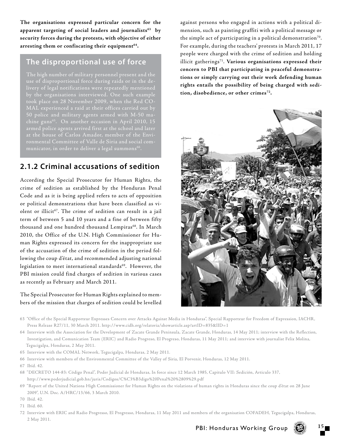**The organisations expressed particular concern for the apparent targeting of social leaders and journalists63 by security forces during the protests, with objective of either**  arresting them or confiscating their equipment<sup>64</sup>.

#### **The disproportional use of force**

The high number of military personnel present and the use of disproportional force during raids or in the dearmed police agents arrived first at the school and later ronmental Committee of Valle de Siria and social communicator, in order to deliver a legal summons<sup>66</sup>.

#### **2.1.2 Criminal accusations of sedition**

According the Special Prosecutor for Human Rights, the crime of sedition as established by the Honduran Penal Code and as it is being applied refers to acts of opposition or political demonstrations that have been classified as violent or illicit<sup>67</sup>. The crime of sedition can result in a jail term of between 5 and 10 years and a fine of between fifty thousand and one hundred thousand Lempiras<sup>68</sup>. In March 2010, the Office of the U.N. High Commissioner for Human Rights expressed its concern for the inappropriate use of the accusation of the crime of sedition in the period following the coup d'état, and recommended adjusting national legislation to meet international standards<sup>69</sup>. However, the PBI mission could find charges of sedition in various cases as recently as February and March 2011.

#### The Special Prosecutor for Human Rights explained to members of the mission that charges of sedition could be levelled

against persons who engaged in actions with a political dimension, such as painting graffiti with a political message or the simple act of participating in a political demonstration $70$ . For example, during the teachers' protests in March 2011, 17 people were charged with the crime of sedition and holding illicit gatherings<sup>71</sup>. Various organisations expressed their **concern to PBI that participating in peaceful demonstrations or simply carrying out their work defending human rights entails the possibility of being charged with sedition, disobedience, or other crimes72.**



- 63 "Office of the Special Rapporteur Expresses Concern over Attacks Against Media in Honduras", Special Rapporteur for Freedom of Expression, IACHR, Press Release R27/11, 30 March 2011. http://www.cidh.org/relatoria/showarticle.asp?artID=835&lID=1
- 64 Interview with the Association for the Development of Zacate Grande Peninsula, Zacate Grande, Honduras, 14 May 2011; interview with the Reflection, Investigation, and Comunication Team (ERIC) and Radio Progreso, El Progreso, Honduras, 11 May 2011; and interview with journalist Felix Molina, Tegucigalpa, Honduras, 2 May 2011.
- 65 Interview with the COMAL Network, Tegucigalpa, Honduras, 2 May 2011.
- 66 Interview with members of the Environmental Committee of the Valley of Siria, El Porvenir, Honduras, 12 May 2011.
- 67 Ibíd. 42.
- 68 "DECRETO 144-83: Código Penal", Poder Judicial de Honduras, In force since 12 March 1985, Capitulo VII: Sedición, Articulo 337, http://www.poderjudicial.gob.hn/juris/Codigos/C%C3%B3digo%20Penal%20%2809%29.pdf
- 69 "Report of the United Nations High Commissioner for Human Rights on the violations of human rights in Honduras since the coup d'état on 28 June 2009", U.N. Doc. A/HRC/13/66, 3 March 2010.
- 70 Ibíd. 42.
- 71 Ibíd. 60.
- 72 Interview with ERIC and Radio Progresso, El Progresso, Honduras, 11 May 2011 and members of the organisation COFADEH, Tegucigalpa, Honduras, 2 May 2011.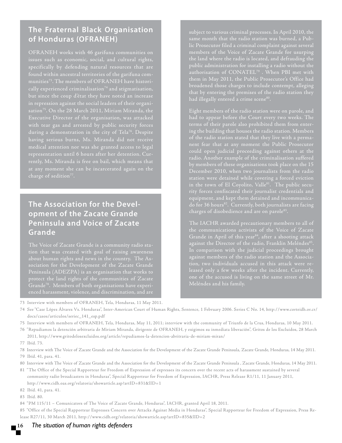### **The Fraternal Black Organisation of Honduras (OFRANEH)**

OFRANEH works with 46 garifuna communities on issues such as economic, social, and cultural rights, found within ancestral territories of the garifuna comcharge of sedition<sup>77</sup>.

#### **The Association for the Development of the Zacate Grande Peninsula and Voice of Zacate Grande**

about human rights and news in the country. The As-Peninsula (ADEZPA) is an organisation that works to protect the land rights of the communities of Zacate Grande78. Members of both organisations have experilic Prosecutor filed a criminal complaint against several broadened those charges to include contempt, alleging had illegally entered a crime scene<sup>80</sup>.

Eight members of the radio station were on parole, and had to appear before the Court every two weeks. The ing the building that houses the radio station. Members radio. Another example of the criminalisation suffered by members of these organisations took place on the 15 charges of disobedience and are on parole<sup>83</sup>.

against the Director of the radio, Franklin Meléndes<sup>85</sup>. In comparison with the judicial proceedings brought

- 73 Interview with members of OFRANEH, Tela, Honduras, 11 May 2011.
- 74 See "Case Lópes Álvares Vs. Honduras", Inter-American Court of Human Rights, Sentence, 1 February 2006. Series C No. 14, http://www.corteidh.or.cr/ docs/casos/articulos/seriec\_141\_esp.pdf
- 75 Interview with members of OFRANEH, Tela, Honduras, May 11, 2011; interview with the community of Triunfo de la Crus, Honduras, 10 May 2011.
- 76 "Repudiamos la detención arbitraria de Miriam Miranda, dirigente de OFRANEH, y exigimos su inmediata liberación", Gritos de los Excluidos, 28 March 2011, http://www.gritodelosexcluidos.org/article/repudiamos-la-detencion-abritraria-de-miriam-miran/
- 77 Ibíd. 73.
- 78 Interview with The Voice of Zacate Grande and the Association for the Development of the Zacate Grande Peninsula, Zacate Grande, Honduras, 14 May 2011. 79 Ibíd. 41, para. 41.
- 80 Interview with The Voice of Zacate Grande and the Association for the Development of the Zacate Grande Peninsula , Zacate Grande, Honduras, 14 May 2011.
- 81 " The Office of the Special Rapporteur for Freedom of Expression of expresses its concern over the recent acts of harassment sustained by several community radio broadcasters in Honduras", Special Rapporteur for Freedom of Expression, IACHR, Press Release R1/11, 11 January 2011, http://www.cidh.oas.org/relatoria/showarticle.asp?artID=831&lID=1
- 82 Ibíd. 41, para. 41.
- 83 Ibíd. 80.

84 "PM 115/11 – Comunicators of The Voice of Zacate Grande, Honduras", IACHR, granted April 18, 2011.

85 "Office of the Special Rapporteur Expresses Concern over Attacks Against Media in Honduras", Special Rapporteur for Freedom of Expression, Press Release R27/11, 30 March 2011, http://www.cidh.org/relatoria/showarticle.asp?artID=835&lID=2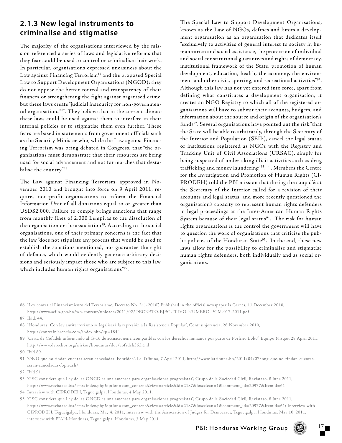#### **2.1.3 New legal instruments to criminalise and stigmatise**

The majority of the organisations interviewed by the mission referenced a series of laws and legislative reforms that they fear could be used to control or criminalise their work. In particular, organisations expressed uneasiness about the Law against Financing Terrorism<sup>86</sup> and the proposed Special Law to Support Development Organisations (NGOD); they do not oppose the better control and transparency of their finances or strengthening the fight against organised crime, but these laws create "judicial insecurity for non-governmental organisations"87. They believe that in the current climate these laws could be used against them to interfere in their internal policies or to stigmatise them even further. These fears are based in statements from government officials such as the Security Minister who, while the Law against Financing Terrorism was being debated in Congress, that "the organisations must demonstrate that their resources are being used for social advancement and not for marches that destabilise the country"88.

The Law against Financing Terrorism, approved in November 2010 and brought into force on 9 April 2011, requires non-profit organisations to inform the Financial Information Unit of all donations equal to or greater than USD\$2.000. Failure to comply brings sanctions that range from monthly fines of 2.000 Lempiras to the dissolution of the organisation or the association<sup>89</sup>. According to the social organisations, one of their primary concerns is the fact that the law "does not stipulate any process that would be used to establish the sanctions mentioned, nor guarantee the right of defence, which would evidently generate arbitrary decisions and seriously impact those who are subject to this law, which includes human rights organisations"90.

The Special Law to Support Development Organisations, known as the Law of NGOs, defines and limits a development organisation as an organisation that dedicates itself "exclusively to activities of general interest to society in humanitarian and social assistance, the protection of individual and social constitutional guarantees and rights of democracy, institutional framework of the State, promotion of human development, education, health, the economy, the environment and other civic, sporting, and recreational activities"91. Although this law has not yet entered into force, apart from defining what constitutes a development organisation, it creates an NGO Registry to which all of the registered organisations will have to submit their accounts, budgets, and information about the source and origin of the organisation's funds<sup>92</sup>. Several organisations have pointed out the risk "that the State will be able to arbitrarily, through the Secretary of the Interior and Population (SEIP), cancel the legal status of institutions registered as NGOs with the Registry and Tracking Unit of Civil Associations (URSAC), simply for being suspected of undertaking illicit activities such as drug trafficking and money laundering"93. " . Members the Centre for the Investigation and Promotion of Human Rights (CI-PRODEH) told the PBI mission that during the coup d'état the Secretary of the Interior called for a revision of their accounts and legal status, and more recently questioned the organisation's capacity to represent human rights defenders in legal proceedings at the Inter-American Human Rights System because of their legal status<sup>94</sup>. The risk for human rights organisations is the control the government will have to question the work of organisations that criticise the public policies of the Honduran State<sup>95</sup>. In the end, these new laws allow for the possibility to criminalise and stigmatise human rights defenders, both individually and as social organisations.

86 "Ley contra el Financiamiento del Terrorismo, Decreto No. 241-2010", Published in the official newspaper la Gaceta, 11 December 2010, http://www.sefin.gob.hn/wp-content/uploads/2011/02/DECRETO-EJECUTIVO-NUMERO-PCM-017-2011.pdf

87 Ibíd. 44.

88 "Honduras: Con ley antiterrorismo se legalisará la represión a la Resistencia Popular", Contrainjerencia, 26 November 2010, http://contrainjerencia.com/index.php/?p=1844

89 "Carta de Cofadeh informando al G-16 de actuaciones incompatibles con los derechos humanos por parte de Porfirio Lobo", Equipo Nisqor, 28 April 2011, http://www.derechos.org/niskor/honduras/doc/cofadeh36.html

91 "ONG que no rindan cuentas serán canceladas: Foprideh", La Tribuna, 7 April 2011, http://www.latribuna.hn/2011/04/07/ong-que-no-rindan-cuentas seran-canceladas-foprideh/

92 Ibíd 91.

93 "GSC considera que Ley de las ONGD es una amenasa para organisaciones progresistas", Grupo de la Sociedad Civil, Revistaso, 8 June 2011, http://www.revistaso.bis/cms/index.php?option=com\_content&view=article&id=2187&joscclean=1&comment\_id=20977&Itemid=61

94 Interview with CIPRODEH, Tegucigalpa, Honduras, 4 May 2011.

95 "GSC considera que Ley de las ONGD es una amenasa para organisaciones progresistas", Grupo de la Sociedad Civil, Revistaso, 8 June 2011, http://www.revistaso.bis/cms/index.php?option=com\_content&view=article&id=2187&joscclean=1&comment\_id=20977&Itemid=61; Interview with CIPRODEH, Tegucigalpa, Honduras, May 4, 2011; interview with the Association of Judges for Democracy, Tegucigalpa, Honduras, May 10, 2011; interview with FIAN-Honduras, Tegucigalpa, Honduras, 3 May 2011.



<sup>90</sup> Ibíd 89.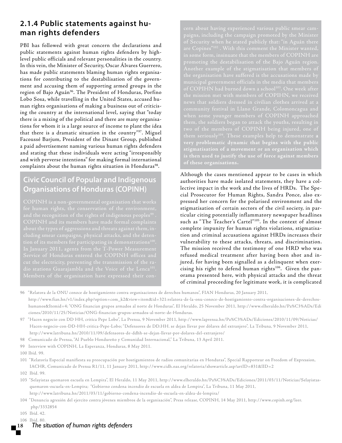#### **2.1.4 Public statements against human rights defenders**

PBI has followed with great concern the declarations and public statements against human rights defenders by highlevel public officials and relevant personalities in the country. In this vein, the Minister of Security, Oscar Álvares Guerrero, has made public statements blaming human rights organisations for contributing to the destabilisation of the government and accusing them of supporting armed groups in the region of Bajo Aguán<sup>96</sup>. The President of Honduras, Porfino Lobo Sosa, while travelling in the United States, accused human rights organisations of making a business out of criticising the country at the international level, saying that "today there is a mixing of the political and there are many organisations for whom it is a large source of income to plant the idea that there is a dramatic situation in the country"97. Miguel Facoussé Barjum, President of the Dinant Group, published a paid advertisement naming various human rights defenders and stating that these individuals were acting "irresponsibly and with perverse intentions" for making formal international complaints about the human rights situation in Honduras<sup>98</sup>.

#### **Civic Council of Popular and Indigenous Organisations of Honduras (COPINH)**

the organisation have suffered is the accusations made by **very problematic dynamic that begins with the public stigmatisation of a movement or an organisation which** 

Although the cases mentioned appear to be cases in which authorities have made isolated statements, they have a collective impact in the work and the lives of HRDs. The Special Prosecutor for Human Rights, Sandra Ponce, also expressed her concern for the polarised environment and the stigmatisation of certain sectors of the civil society, in particular citing potentially inflammatory newspaper headlines such as " The Teacher's Cartel"105. In the context of almost complete impunity for human rights violations, stigmatisation and criminal accusations against HRDs increases their vulnerability to these attacks, threats, and discrimination. The mission received the testimony of one HRD who was refused medical treatment after having been shot and injured, for having been signalled as a delinquent when exercising his right to defend human rights<sup>106</sup>. Given the panorama presented here, with physical attacks and the threat of criminal proceeding for legitimate work, it is complicated

- 96 "Relatora de la ONU conoce de hostigamiento contra organisaciones de derechos humanos", FIAN Honduras, 20 January 2011, http://www.fian.hn/v1/index.php?option=com\_k2&view=item&id=321:relatora-de-la-onu-conoce-de-hostigamiento-contra-organisaciones-de-derechos humanos&Itemid=4; "ONG financian grupos armados al norte de Honduras", El Heraldo, 25 November 2011, http://www.elheraldo.hn/Pa%C3%ADs/Edi ciones/2010/11/25/Noticias/ONG-financian-grupos-armados-al-norte-de-Honduras.
- 97 "Hacen negocio con DD HH, critica Pepe Lobo", La Prensa, 9 November 2011, http://www.laprensa.hn/Pa%C3%ADs/Ediciones/2010/11/09/Noticias/ Hacen-negocio-con-DD-HH-critica-Pepe-Lobo; "Defensores de DD.HH. se dejan llevar por dólares del extranjero", La Tribuna, 9 November 2011, http://www.latribuna.hn/2010/11/09/defensores-de-ddhh-se-dejan-llevar-por-dolares-del-extranjero/
- 98 Comunicado de Prensa, "Al Pueblo Hondureño y Comunidad Internacional," La Tribuna, 13 April 2011.
- 99 Interview with COPINH, La Esperanza, Honduras, 8 May 2011.
- 100 Ibíd. 99.
- 101 "Relatoría Especial manifiesta su preocupación por hostigamientos de radios comunitarias en Honduras", Special Rapporteur on Freedom of Expression, IACHR, Comunicado de Prensa R1/11, 11 January 2011, http://www.cidh.oas.org/relatoria/showarticle.asp?artID=831&lID=2
- 102 Ibíd. 99.
- 103 "Selayistas quemaron escuela en Lempira", El Heraldo, 11 May 2011, http://www.elheraldo.hn/Pa%C3%ADs/Ediciones/2011/03/11/Noticias/Selayistas quemaron-escuela-en-Lempira; "Gobierno condena incendio de escuela en aldea de Lempira", La Tribuna, 11 May 2011, http://www.latribuna.hn/2011/03/11/gobierno-condena-incendio-de-escuela-en-aldea-de-lempira/
- 104 "Denuncia agresión del ejercito contra jóvenes miembros de la organisación", Press release, COPINH, 14 May 2011, http://www.copinh.org/leer. php/3332854
- 105 Ibíd. 42.
- 106 Ibíd. 80.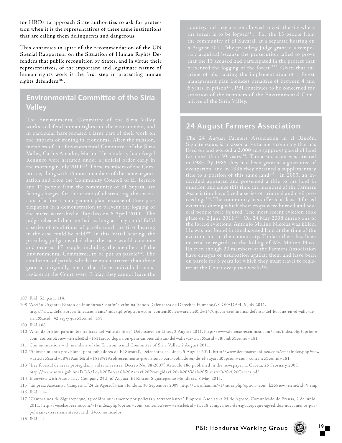for HRDs to approach State authorities to ask for protection when it is the representatives of these same institutions that are calling them delinquents and dangerous.

This continues in spite of the recommendation of the UN Special Rapporteur on the Situation of Human Rights Defenders that public recognition by States, and in virtue their representatives, of the important and legitimate nature of human rights work is the first step in protecting human rights defenders<sup>107</sup>.

#### **Environmental Committee of the Siria Valley**

#### **24 August Farmers Association**

place on 2 June 2011 $^{117}$ . On 24 May 2008 during one of

107 Ibíd. 52, para. 114.

- 108 "Acción Urgente: Estado de Honduras Continúa criminalisando Defensores de Derechos Humanos", COFADEH, 6 July 2011, http://www.defensoresenlinea.com/cms/index.php?option=com\_content&view=article&id=1470:juesa-criminalisa-defensa-del-bosque-en-el-valle-de siria&catid=42:seg-y-jus&Itemid=159
- 109 Ibíd 108.
- 110 "Auto de prisión para ambientalistas del Valle de Siria", Defensores en Línea, 2 August 2011, http://www.defensoresenlinea.com/cms/index.php?option= com\_content&view=article&id=1531:auto deprision-para-ambientalistas-del-valle-de-siria&catid=58:amb&Itemid=181
- 111 Communication with members of the Environmental Committee of Siria Valley, 2 August 2011.
- 112 "Sobreseimiento provisional para pobladores de El Suyatal", Defensores en Línea, 5 August 2011, http://www.defensoresenlinea.com/cms/index.php?view =article&catid=58%3Aamb&id=1538%3Asobreseimiento-provisional-para-pobladores-de-el-suyatal&option=com\_content&Itemid=181
- 113 "Ley forestal de áreas protegidas y vidas silvestres, Decreo No. 98-2007", Articulo 186 published in the newspaper la Gaceta, 26 February 2008, http://www.serna.gob.hn/DGA/Ley%20Forestal%20Areas%20Protegidas%20y%20Vida%20Silvestre%20-%20Gaceta.pdf
- 114 Interview with Associative Company 24th of August, El Rincon Siguatepeque Honduras, 8 May 2011.
- 115 "Empresa Asociativa Campesina "24 de Agosto", Fian Hondura, 30 September 2009, http://www.fian.hn/v1/index.php?option=com\_k2&view=item&id=9:emp 116 Ibíd. 114.
- 117 "Campesinos de Siguatepeque, agredidos nuevamente por policías y terratenientes", Empresa Asociativa 24 de Agosto, Comunicado de Prensa, 2 de junio 2011, http://voselsoberano.com/v1/index.php?option=com\_content&view=article&id=11518:campesinos-de-siguatepeque-agredidos-nuevamente-por policias-y-terratenientes&catid=24:comunicados

118 Ibíd. 114.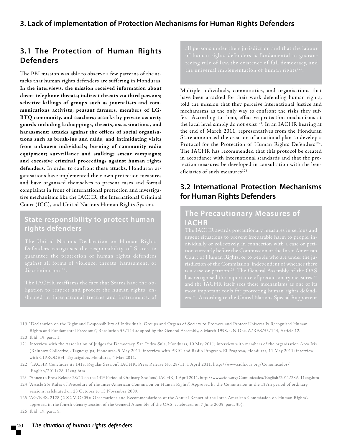#### **3.1 The Protection of Human Rights Defenders**

The PBI mission was able to observe a few patterns of the attacks that human rights defenders are suffering in Honduras. **In the interviews, the mission received information about direct telephone threats; indirect threats via third persons; selective killings of groups such as journalists and communications activists, peasant farmers, members of LG-BTQ community, and teachers; attacks by private security guards including kidnappings, threats, assassinations, and harassment; attacks against the offices of social organisations such as break-ins and raids, and intimidating visits from unknown individuals; burning of community radio equipment; surveillance and stalking; smear campaigns; and excessive criminal proceedings against human rights defenders.** In order to confront these attacks, Honduran organisations have implemented their own protection measures and have organised themselves to present cases and formal complaints in front of international protection and investigative mechanisms like the IACHR, the International Criminal Court (ICC), and United Nations Human Rights System.

#### **State responsibility to protect human rights defenders**

 $discription<sup>119</sup>$ .

Multiple individuals, communities, and organisations that have been attacked for their work defending human rights, told the mission that they perceive international justice and mechanisms as the only way to confront the risks they suffer. According to them, effective protection mechanisms at the local level simply do not exist<sup>121</sup>. In an IACHR hearing at the end of March 2011, representatives from the Honduran State announced the creation of a national plan to develop a Protocol for the Protection of Human Rights Defenders<sup>122</sup>. The IACHR has recommended that this protocol be created in accordance with international standards and that the protection measures be developed in consultation with the beneficiaries of such measures<sup>123</sup>.

#### **3.2 International Protection Mechanisms for Human Rights Defenders**

#### **The Precautionary Measures of IACHR**

- 119 "Declaration on the Right and Responsibility of Individuals, Groups and Organs of Society to Promote and Protect Universally Recognised Human Rights and Fundamental Freedoms", Resolution 53/144 adopted by the General Assembly, 8 March 1998, UN Doc. A/RES/53/144, Article 12.
- 120 Ibíd. 19, para. 1.
- 121 Interview with the Association of Judges for Democracy, San Pedro Sula, Honduras, 10 May 2011; interview with members of the organisation Arco Iris (Rainbow Collective), Tegucigalpa, Honduras, 5 May 2011; interview with ERIC and Radio Progreso, El Progreso, Honduras, 11 May 2011; interview with CIPRODEH, Tegucigalpa, Honduras, 4 May 2011.
- 122 "IACHR Concludes its 141st Regular Session", IACHR, Press Release No. 28/11, 1 April 2011, http://www.cidh.oas.org/Comunicados/ English/2011/28-11eng.htm
- 123 "Annex to Press Release 28/11 on the 141º Period of Ordinary Sessions", IACHR, 1 April 2011, http://www.cidh.org/Comunicados/English/2011/28A-11eng.htm
- 124 "Article 25: Rules of Procedure of the Inter-American Commision on Human Rights", Approved by the Commission in the 137th period of ordinary sessions, celebrated on 28 October to 13 November 2009.
- 125 "AG/RES. 2128 (XXXV-O/05): Observations and Recommendations of the Annual Report of the Inter-American Commission on Human Rights", approved in the fourth plenary session of the General Assembly of the OAS, celebrated on 7 June 2005, para. 3b).
- 126 Ibíd. 19, para. 5.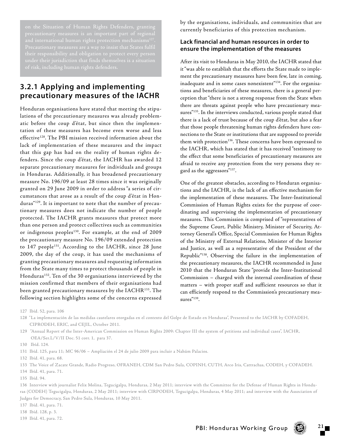#### **3.2.1 Applying and implementing precautionary measures of the IACHR**

Honduran organisations have stated that meeting the stipulations of the precautionary measures was already problematic before the coup d'état, but since then the implementation of these measures has become even worse and less effective<sup>128</sup>. The PBI mission received information about the lack of implementation of these measures and the impact that this gap has had on the reality of human rights defenders. Since the coup d'état, the IACHR has awarded 12 separate precautionary measures for individuals and groups in Honduras. Additionally, it has broadened precautionary measure No. 196/09 at least 28 times since it was originally granted on 29 June 2009 in order to address "a series of circumstances that arose as a result of the coup d'état in Honduras"129. It is important to note that the number of precautionary measures does not indicate the number of people protected. The IACHR grants measures that protect more than one person and protect collectives such as communities or indigenous peoples<sup>130</sup>. For example, at the end of 2009 the precautionary measure No. 196/09 extended protection to 147 people<sup>131</sup>. According to the IACHR, since 28 June 2009, the day of the coup, it has used the mechanisms of granting precautionary measures and requesting information from the State many times to protect thousands of people in Honduras<sup>132</sup>. Ten of the 30 organisations interviewed by the mission confirmed that members of their organisations had been granted precautionary measures by the IACHR<sup>133</sup>. The following section highlights some of the concerns expressed by the organisations, individuals, and communities that are currently beneficiaries of this protection mechanism.

#### **Lack financial and human resources in order to ensure the implementation of the measures**

After its visit to Honduras in May 2010, the IACHR stated that it "was able to establish that the efforts the State made to implement the precautionary measures have been few, late in coming, inadequate and in some cases nonexistent"134. For the organisations and beneficiaries of these measures, there is a general perception that "there is not a strong response from the State when there are threats against people who have precautionary measures"<sup>135</sup>. In the interviews conducted, various people stated that there is a lack of trust because of the coup d'état, but also a fear that those people threatening human rights defenders have connections to the State or institutions that are supposed to provide them with protection<sup>136</sup>. These concerns have been expressed to the IACHR, which has stated that it has received "testimony to the effect that some beneficiaries of precautionary measures are afraid to receive any protection from the very persons they regard as the aggressors"137.

One of the greatest obstacles, according to Honduran organisations and the IACHR, is the lack of an effective mechanism for the implementation of these measures. The Inter-Institutional Commission of Human Rights exists for the purpose of coordinating and supervising the implementation of precautionary measures. This Commission is comprised of "representatives of the Supreme Court, Public Ministry, Minister of Security, Attorney General's Office, Special Commission for Human Rights of the Ministry of External Relations, Minister of the Interior and Justice, as well as a representative of the President of the Republic"138. Observing the failure in the implementation of the precautionary measures, the IACHR recommended in June 2010 that the Honduran State "provide the Inter-Institutional Commission – charged with the internal coordination of these matters – with proper staff and sufficient resources so that it can efficiently respond to the Commission's precautionary measures"<sup>139</sup>.

127 Ibíd. 52, para. 106

128 "La implementación de las medidas cautelares otorgadas en el contexto del Golpe de Estado en Honduras", Presented to the IACHR by COFADEH, CIPRODEH, ERIC, and CEJIL, October 2011.

129 "Annual Report of the Inter-American Commission on Human Rights 2009: Chapter III the system of petitions and individual cases", IACHR, OEA/Ser.L/V/II Doc. 51 corr. 1, para 37.

130 Ibíd. 124.

131 Ibíd. 125, para 11; MC 96/06 – Ampliación el 24 de julio 2009 para incluir a Nahúm Palacios.

132 Ibíd. 41, para. 68.

133 The Voice of Zacate Grande, Radio Progreso, OFRANEH, CDM San Pedro Sula, COPINH, CUTH, Arco Iris, Cattrachas, CODEH, y COFADEH.

134 Ibíd. 41, para. 71.

135 Ibíd. 94.

136 Interview with journalist Felix Molina, Tegucigalpa, Honduras, 2 May 2011; interview with the Committee for the Defense of Human Rights in Honduras (CODEH) Tegucigalpa, Honduras, 2 May 2011; interview with CIRPODEH, Tegucigalpa, Honduras, 4 May 2011; and interview with the Association of Judges for Democracy, San Pedro Sula, Honduras, 10 May 2011.

137 Ibíd. 41, para. 71.

138 Ibíd. 128, p. 3.

139 Ibíd. 41, para. 72.

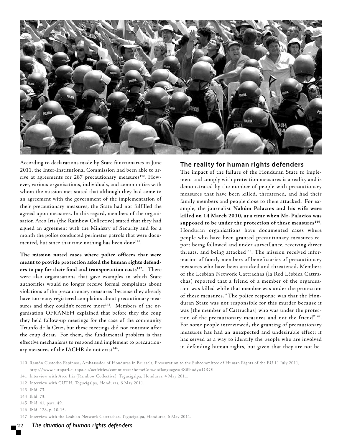

According to declarations made by State functionaries in June 2011, the Inter-Institutional Commission had been able to arrive at agreements for 287 precautionary measures $140$ . However, various organisations, individuals, and communities with whom the mission met stated that although they had come to an agreement with the government of the implementation of their precautionary measures, the State had not fulfilled the agreed upon measures. In this regard, members of the organisation Arco Iris (the Rainbow Collective) stated that they had signed an agreement with the Ministry of Security and for a month the police conducted perimeter patrols that were documented, but since that time nothing has been done<sup>141</sup>.

**The mission noted cases where police officers that were meant to provide protection asked the human rights defend**ers to pay for their food and transportation costs<sup>142</sup>. There were also organisations that gave examples in which State authorities would no longer receive formal complaints about violations of the precautionary measures "because they already have too many registered complaints about precautionary measures and they couldn't receive more<sup>143</sup>. Members of the organisation OFRANEH explained that before they the coup they held follow-up meetings for the case of the community Triunfo de la Cruz, but these meetings did not continue after the coup d'etat. For them, the fundamental problem is that effective mechanisms to respond and implement to precautionary measures of the IACHR do not exist<sup>144</sup>.

#### **The reality for human rights defenders**

The impact of the failure of the Honduran State to implement and comply with protection measures is a reality and is demonstrated by the number of people with precautionary measures that have been killed, threatened, and had their family members and people close to them attacked. For example, the journalist **Nahúm Palacios and his wife were killed on 14 March 2010, at a time when Mr. Palacios was**  supposed to be under the protection of these measures<sup>145</sup>. Honduran organisations have documented cases where people who have been granted precautionary measures report being followed and under surveillance, receiving direct threats, and being attacked<sup>146</sup>. The mission received information of family members of beneficiaries of precautionary measures who have been attacked and threatened. Members of the Lesbian Network Cattrachas (la Red Lésbica Cattrachas) reported that a friend of a member of the organisation was killed while that member was under the protection of these measures. " The police response was that the Honduran State was not responsible for this murder because it was [the member of Cattrachas] who was under the protection of the precautionary measures and not the friend"147. For some people interviewed, the granting of precautionary measures has had an unexpected and undesirable effect: it has served as a way to identify the people who are involved in defending human rights, but given that they are not be-

- 141 Interview with Arco Iris (Rainbow Collective), Tegucigalpa, Honduras, 4 May 2011.
- 142 Interview with CUTH, Tegucigalpa, Honduras, 6 May 2011.

<sup>140</sup> Ramón Custodio Espinosa, Ambassador of Honduras in Brussels, Presentation to the Subcommittee of Human Rights of the EU 11 July 2011,

http://www.europarl.europa.eu/activities/committees/homeCom.do?language=ES&body=DROI

<sup>143</sup> Ibíd. 73.

<sup>144</sup> Ibíd. 73.

<sup>145</sup> Ibíd. 41, para. 49.

<sup>146</sup> Ibíd. 128, p. 10-15.

<sup>147</sup> Interview with the Lesbian Network Cattrachas, Tegucigalpa, Honduras, 6 May 2011.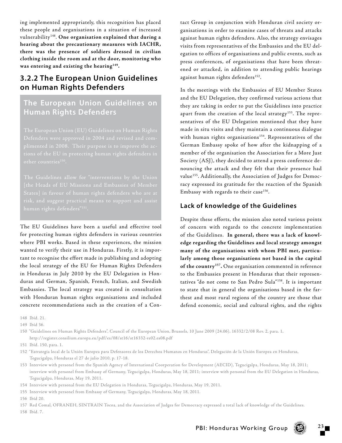ing implemented appropriately, this recognition has placed these people and organisations in a situation of increased vulnerability148. **One organisation explained that during a hearing about the precautionary measures with IACHR, there was the presence of soldiers dressed in civilian clothing inside the room and at the door, monitoring who was entering and existing the hearing149.** 

#### **3.2.2 The European Union Guidelines on Human Rights Defenders**

#### **The European Union Guidelines on Human Rights Defenders**

The EU Guidelines have been a useful and effective tool for protecting human rights defenders in various countries where PBI works. Based in these experiences, the mission wanted to verify their use in Honduras. Firstly, it is important to recognise the effort made in publishing and adopting the local strategy of the EU for Human Rights Defenders in Honduras in July 2010 by the EU Delegation in Honduras and German, Spanish, French, Italian, and Swedish Embassies. The local strategy was created in consultation with Honduran human rights organisations and included concrete recommendations such as the creation of a Contact Group in conjunction with Honduran civil society organisations in order to examine cases of threats and attacks against human rights defenders. Also, the strategy envisages visits from representatives of the Embassies and the EU delegation to offices of organisations and public events, such as press conferences, of organisations that have been threatened or attacked, in addition to attending public hearings against human rights defenders<sup>152</sup>.

In the meetings with the Embassies of EU Member States and the EU Delegation, they confirmed various actions that they are taking in order to put the Guidelines into practice apart from the creation of the local strategy<sup>153</sup>. The representatives of the EU Delegation mentioned that they have made in situ visits and they maintain a continuous dialogue with human rights organisations<sup>154</sup>. Representatives of the German Embassy spoke of how after the kidnapping of a member of the organisation the Association for a More Just Society (ASJ), they decided to attend a press conference denouncing the attack and they felt that their presence had value<sup>155</sup>. Additionally, the Association of Judges for Democracy expressed its gratitude for the reaction of the Spanish Embassy with regards to their case<sup>156</sup>.

#### **Lack of knowledge of the Guidelines**

Despite these efforts, the mission also noted various points of concern with regards to the concrete implementation of the Guidelines. **In general, there was a lack of knowledge regarding the Guidelines and local strategy amongst many of the organisations with whom PBI met, particularly among those organisations not based in the capital of the country157.**One organisation commented in reference to the Embassies present in Honduras that their representatives "do not come to San Pedro Sula"158. It is important to state that in general the organisations based in the farthest and most rural regions of the country are those that defend economic, social and cultural rights, and the rights

- 153 Interview with personel from the Spanish Agency of International Coorperation for Development (AECID), Tegucigalpa, Honduras, May 18, 2011; interview with personel from Embassy of Germany, Tegucigalpa, Honduras, May 18, 2011; interview with personal from the EU Delegation in Honduras, Tegucigalpa, Honduras, May 19, 2011.
- 154 Interview with personal from the EU Delegation in Honduras, Tegucigalpa, Honduras, May 19, 2011.
- 155 Interview with personel from Embassy of Germany, Tegucigalpa, Honduras, May 18, 2011.
- 156 Ibíd 20.

157 Red Comal, OFRANEH, SINTRAIN Tocoa, and the Association of Judges for Democracy expressed a total lack of knowledge of the Guidelines. 158 Ibíd. 7.



<sup>148</sup> Ibíd. 21. 149 Ibíd 36.

<sup>150 &</sup>quot;Guidelines on Human Rights Defenders", Council of the European Union, Brussels, 10 June 2009 (24.06), 16332/2/08 Rev. 2, para. 1, http://register.consilium.europa.eu/pdf/es/08/st16/st16332-re02.es08.pdf

<sup>151</sup> Ibíd. 150, para. 1.

<sup>152 &</sup>quot;Estrategia local de la Unión Europea para Defensores de los Derechos Humanos en Honduras", Delegación de la Unión Europea en Honduras, Tegucigalpa, Honduras el 27 de julio 2010, p. 17-18.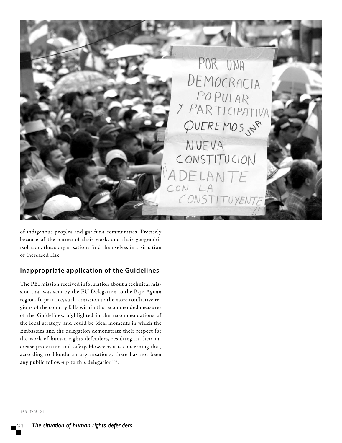

of indigenous peoples and garifuna communities. Precisely because of the nature of their work, and their geographic isolation, these organisations find themselves in a situation of increased risk.

#### **Inappropriate application of the Guidelines**

The PBI mission received information about a technical mission that was sent by the EU Delegation to the Bajo Aguán region. In practice, such a mission to the more conflictive regions of the country falls within the recommended measures of the Guidelines, highlighted in the recommendations of the local strategy, and could be ideal moments in which the Embassies and the delegation demonstrate their respect for the work of human rights defenders, resulting in their increase protection and safety. However, it is concerning that, according to Honduran organisations, there has not been any public follow-up to this delegation<sup>159</sup>.

159 Ibíd. 21.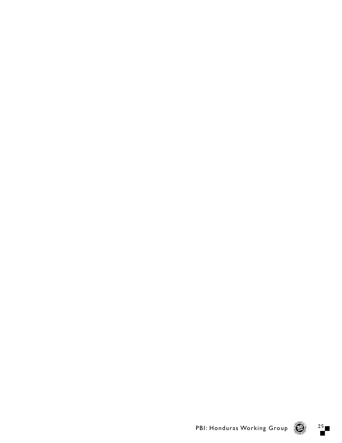



 $\frac{25}{\blacksquare}$